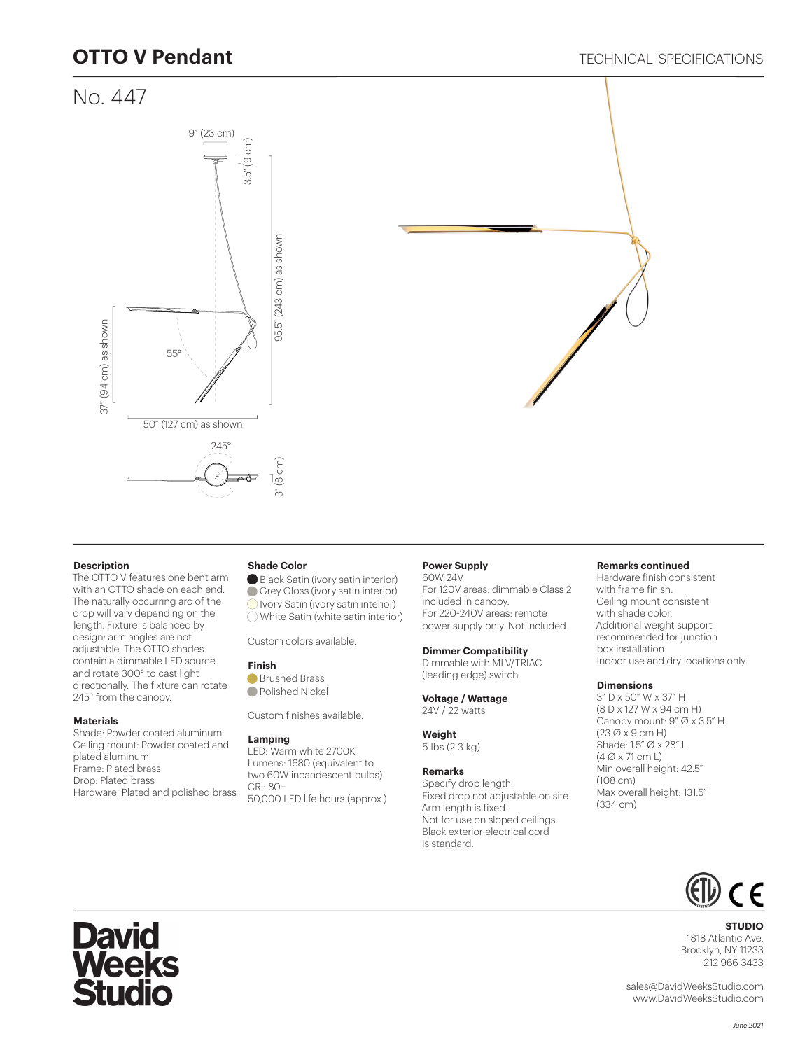## **OTTO V Pendant**

## No. 447





#### **Description**

The OTTO V features one bent arm with an OTTO shade on each end. The naturally occurring arc of the drop will vary depending on the length. Fixture is balanced by design; arm angles are not adjustable. The OTTO shades contain a dimmable LED source and rotate 300° to cast light directionally. The fixture can rotate 245° from the canopy.

#### **Materials**

Shade: Powder coated aluminum Ceiling mount: Powder coated and plated aluminum Frame: Plated brass Drop: Plated brass Hardware: Plated and polished brass

#### **Shade Color**

Black Satin (ivory satin interior) Grey Gloss (ivory satin interior) **Ivory Satin (ivory satin interior)** White Satin (white satin interior)

Custom colors available.

#### **Finish**

**Brushed Brass Polished Nickel** 

Custom finishes available.

#### **Lamping**

LED: Warm white 2700K Lumens: 1680 (equivalent to two 60W incandescent bulbs) CRI: 80+ 50,000 LED life hours (approx.)

### **Power Supply**

60W 24V For 120V areas: dimmable Class 2 included in canopy. For 220-240V areas: remote power supply only. Not included.

#### **Dimmer Compatibility**

Dimmable with MLV/TRIAC (leading edge) switch

**Voltage / Wattage** 24V / 22 watts

#### **Weight** 5 lbs (2.3 kg)

**Remarks**

#### Specify drop length. Fixed drop not adjustable on site. Arm length is fixed. Not for use on sloped ceilings. Black exterior electrical cord is standard.

#### **Remarks continued**

Hardware finish consistent with frame finish. Ceiling mount consistent with shade color. Additional weight support recommended for junction box installation. Indoor use and dry locations only.

#### **Dimensions**

3" D x 50" W x 37" H (8 D x 127 W x 94 cm H) Canopy mount: 9" Ø x 3.5" H  $(23 \emptyset x 9$  cm H) Shade: 1.5" Ø x 28" L (4 Ø x 71 cm L) Min overall height: 42.5" (108 cm) Max overall height: 131.5" (334 cm)



#### **STUDIO** 1818 Atlantic Ave. Brooklyn, NY 11233 212 966 3433

sales@DavidWeeksStudio.com www.DavidWeeksStudio.com

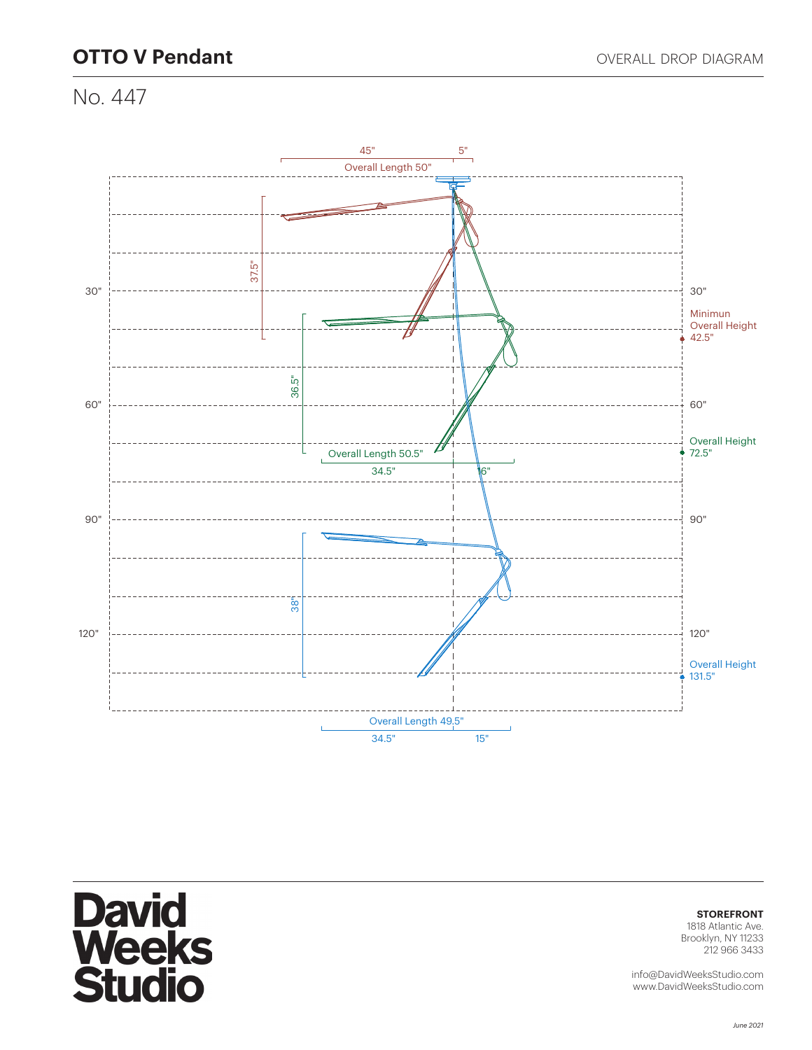# **OTTO V Pendant OTTO V Pendant OVERALL DROP DIAGRAM**

No. 447



# **David<br>Weeks<br>Studio**

**STOREFRONT**

1818 Atlantic Ave. Brooklyn, NY 11233 212 966 3433

info@DavidWeeksStudio.com www.DavidWeeksStudio.com